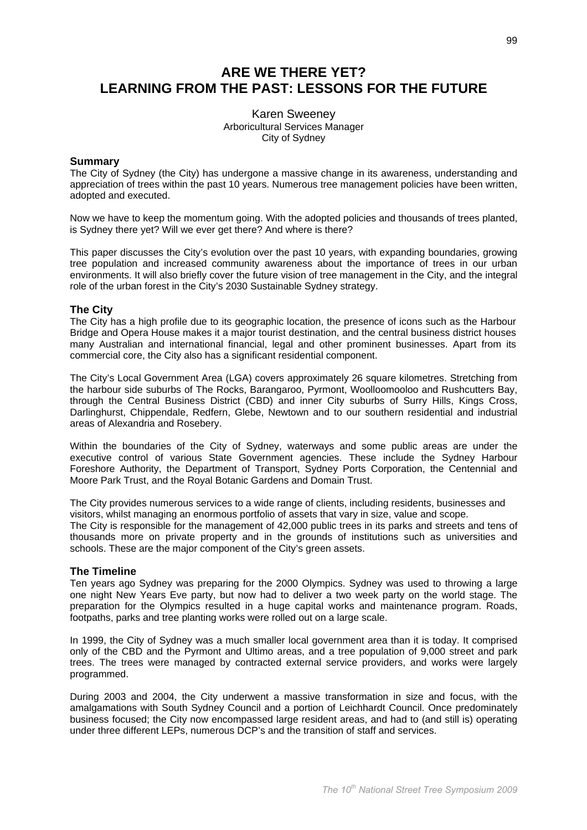# **ARE WE THERE YET? LEARNING FROM THE PAST: LESSONS FOR THE FUTURE**

**Karen Sweenev** Arboricultural Services Manager City of Sydney

## **Summary**

The City of Sydney (the City) has undergone a massive change in its awareness, understanding and appreciation of trees within the past 10 years. Numerous tree management policies have been written, adopted and executed.

Now we have to keep the momentum going. With the adopted policies and thousands of trees planted, is Sydney there yet? Will we ever get there? And where is there?

This paper discusses the City's evolution over the past 10 years, with expanding boundaries, growing tree population and increased community awareness about the importance of trees in our urban environments. It will also briefly cover the future vision of tree management in the City, and the integral role of the urban forest in the City's 2030 Sustainable Sydney strategy.

# **The City**

The City has a high profile due to its geographic location, the presence of icons such as the Harbour Bridge and Opera House makes it a major tourist destination, and the central business district houses many Australian and international financial, legal and other prominent businesses. Apart from its commercial core, the City also has a significant residential component.

The City's Local Government Area (LGA) covers approximately 26 square kilometres. Stretching from the harbour side suburbs of The Rocks, Barangaroo, Pyrmont, Woolloomooloo and Rushcutters Bay, through the Central Business District (CBD) and inner City suburbs of Surry Hills, Kings Cross, Darlinghurst. Chippendale. Redfern. Glebe. Newtown and to our southern residential and industrial areas of Alexandria and Rosebery.

Within the boundaries of the City of Sydney, waterways and some public areas are under the executive control of various State Government agencies. These include the Sydney Harbour Foreshore Authority, the Department of Transport, Sydney Ports Corporation, the Centennial and Moore Park Trust, and the Royal Botanic Gardens and Domain Trust.

The City provides numerous services to a wide range of clients, including residents, businesses and visitors, whilst managing an enormous portfolio of assets that vary in size, value and scope.

The City is responsible for the management of 42,000 public trees in its parks and streets and tens of thousands more on private property and in the grounds of institutions such as universities and schools. These are the major component of the City's green assets.

## **The Timeline**

Ten years ago Sydney was preparing for the 2000 Olympics. Sydney was used to throwing a large one night New Years Eve party, but now had to deliver a two week party on the world stage. The preparation for the Olympics resulted in a huge capital works and maintenance program. Roads, footpaths, parks and tree planting works were rolled out on a large scale.

In 1999, the City of Sydney was a much smaller local government area than it is today. It comprised only of the CBD and the Pyrmont and Ultimo areas, and a tree population of 9,000 street and park trees. The trees were managed by contracted external service providers, and works were largely programmed.

During 2003 and 2004, the City underwent a massive transformation in size and focus, with the amalgamations with South Sydney Council and a portion of Leichhardt Council. Once predominately business focused: the City now encompassed large resident areas, and had to (and still is) operating under three different LEPs, numerous DCP's and the transition of staff and services.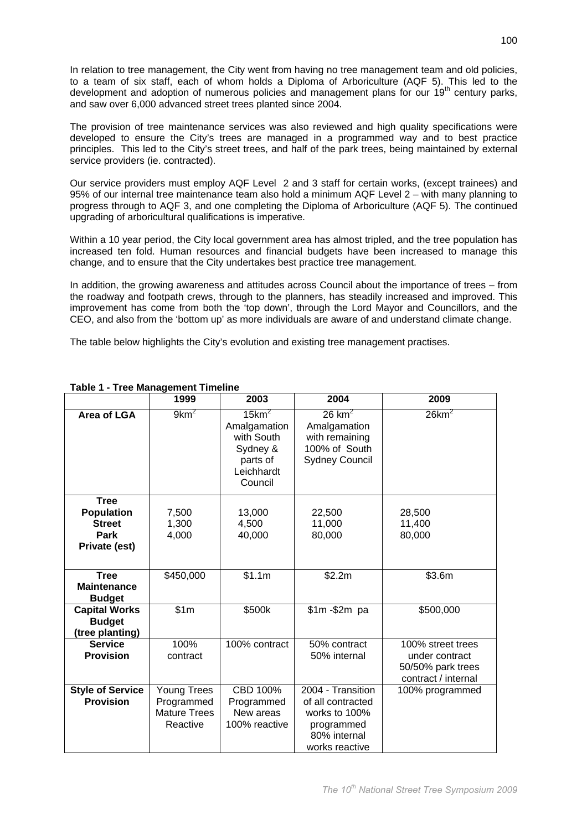In relation to tree management, the City went from having no tree management team and old policies, to a team of six staff, each of whom holds a Diploma of Arboriculture (AQF 5). This led to the development and adoption of numerous policies and management plans for our 19<sup>th</sup> century parks, and saw over 6,000 advanced street trees planted since 2004.

The provision of tree maintenance services was also reviewed and high quality specifications were developed to ensure the City's trees are managed in a programmed way and to best practice principles. This led to the City's street trees, and half of the park trees, being maintained by external service providers (ie. contracted).

Our service providers must employ AQF Level 2 and 3 staff for certain works, (except trainees) and 95% of our internal tree maintenance team also hold a minimum AQF Level 2 – with many planning to progress through to AQF 3, and one completing the Diploma of Arboriculture (AQF 5). The continued upgrading of arboricultural qualifications is imperative.

Within a 10 year period, the City local government area has almost tripled, and the tree population has increased ten fold. Human resources and financial budgets have been increased to manage this change, and to ensure that the City undertakes best practice tree management.

In addition, the growing awareness and attitudes across Council about the importance of trees - from the roadway and footpath crews, through to the planners, has steadily increased and improved. This improvement has come from both the 'top down', through the Lord Mayor and Councillors, and the CEO, and also from the 'bottom up' as more individuals are aware of and understand climate change.

The table below highlights the City's evolution and existing tree management practises.

|                                                                                   | 1999                                                         | 2003                                                                                                | 2004                                                                                                    | 2009                                                                            |
|-----------------------------------------------------------------------------------|--------------------------------------------------------------|-----------------------------------------------------------------------------------------------------|---------------------------------------------------------------------------------------------------------|---------------------------------------------------------------------------------|
| <b>Area of LGA</b>                                                                | 9km <sup>2</sup>                                             | $15$ km <sup>2</sup><br>Amalgamation<br>with South<br>Sydney &<br>parts of<br>Leichhardt<br>Council | $26$ km <sup>2</sup><br>Amalgamation<br>with remaining<br>100% of South<br><b>Sydney Council</b>        | $26$ km <sup>2</sup>                                                            |
| <b>Tree</b><br><b>Population</b><br><b>Street</b><br><b>Park</b><br>Private (est) | 7,500<br>1,300<br>4,000                                      | 13,000<br>4,500<br>40,000                                                                           | 22,500<br>11,000<br>80,000                                                                              | 28,500<br>11,400<br>80,000                                                      |
| <b>Tree</b><br><b>Maintenance</b><br><b>Budget</b>                                | \$450,000                                                    | \$1.1m                                                                                              | \$2.2m                                                                                                  | \$3.6m                                                                          |
| <b>Capital Works</b><br><b>Budget</b><br>(tree planting)                          | \$1m                                                         | \$500k                                                                                              | $$1m - $2m$ pa                                                                                          | \$500,000                                                                       |
| <b>Service</b><br><b>Provision</b>                                                | 100%<br>contract                                             | 100% contract                                                                                       | 50% contract<br>50% internal                                                                            | 100% street trees<br>under contract<br>50/50% park trees<br>contract / internal |
| <b>Style of Service</b><br><b>Provision</b>                                       | Young Trees<br>Programmed<br><b>Mature Trees</b><br>Reactive | CBD 100%<br>Programmed<br>New areas<br>100% reactive                                                | 2004 - Transition<br>of all contracted<br>works to 100%<br>programmed<br>80% internal<br>works reactive | 100% programmed                                                                 |

# Table 1 - Tree Management Timeline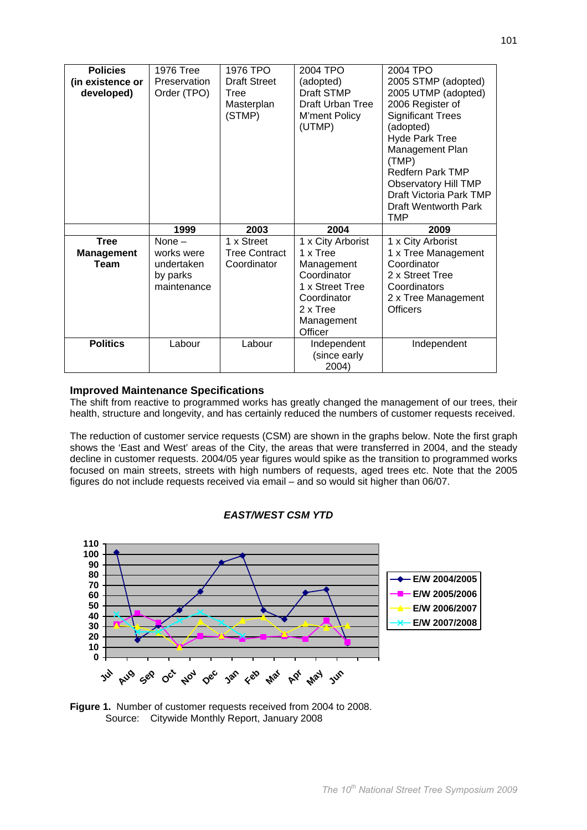| <b>Policies</b>   | <b>1976 Tree</b> | 1976 TPO             | 2004 TPO                | 2004 TPO                    |
|-------------------|------------------|----------------------|-------------------------|-----------------------------|
| (in existence or  | Preservation     | <b>Draft Street</b>  | (adopted)               | 2005 STMP (adopted)         |
| developed)        | Order (TPO)      | Tree                 | Draft STMP              | 2005 UTMP (adopted)         |
|                   |                  | Masterplan           | <b>Draft Urban Tree</b> | 2006 Register of            |
|                   |                  | (STMP)               | M'ment Policy           | <b>Significant Trees</b>    |
|                   |                  |                      | (UTMP)                  | (adopted)                   |
|                   |                  |                      |                         | <b>Hyde Park Tree</b>       |
|                   |                  |                      |                         | Management Plan             |
|                   |                  |                      |                         | (TMP)                       |
|                   |                  |                      |                         | <b>Redfern Park TMP</b>     |
|                   |                  |                      |                         | <b>Observatory Hill TMP</b> |
|                   |                  |                      |                         | Draft Victoria Park TMP     |
|                   |                  |                      |                         | Draft Wentworth Park        |
|                   |                  |                      |                         |                             |
|                   |                  |                      |                         | <b>TMP</b>                  |
|                   | 1999             | 2003                 | 2004                    | 2009                        |
| <b>Tree</b>       | None $-$         | 1 x Street           | 1 x City Arborist       | 1 x City Arborist           |
| <b>Management</b> | works were       | <b>Tree Contract</b> | 1 x Tree                | 1 x Tree Management         |
| Team              | undertaken       | Coordinator          | Management              | Coordinator                 |
|                   | by parks         |                      | Coordinator             | 2 x Street Tree             |
|                   | maintenance      |                      | 1 x Street Tree         | Coordinators                |
|                   |                  |                      | Coordinator             | 2 x Tree Management         |
|                   |                  |                      | 2 x Tree                | <b>Officers</b>             |
|                   |                  |                      | Management              |                             |
|                   |                  |                      | Officer                 |                             |
| <b>Politics</b>   | Labour           | Labour               | Independent             | Independent                 |
|                   |                  |                      | (since early            |                             |

# **Improved Maintenance Specifications**

The shift from reactive to programmed works has greatly changed the management of our trees, their health, structure and longevity, and has certainly reduced the numbers of customer requests received.

The reduction of customer service requests (CSM) are shown in the graphs below. Note the first graph shows the 'East and West' areas of the City, the areas that were transferred in 2004, and the steady decline in customer requests. 2004/05 year figures would spike as the transition to programmed works focused on main streets, streets with high numbers of requests, aged trees etc. Note that the 2005 figures do not include requests received via email - and so would sit higher than 06/07.



## **EAST/WEST CSM YTD**

Figure 1. Number of customer requests received from 2004 to 2008. Source: Citywide Monthly Report, January 2008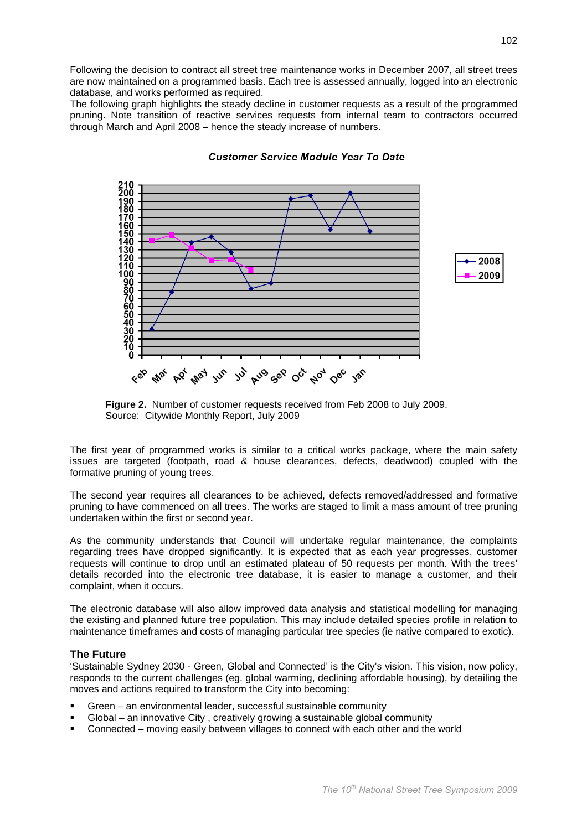Following the decision to contract all street tree maintenance works in December 2007, all street trees are now maintained on a programmed basis. Each tree is assessed annually, logged into an electronic database, and works performed as required.

The following graph highlights the steady decline in customer requests as a result of the programmed pruning. Note transition of reactive services requests from internal team to contractors occurred through March and April 2008 - hence the steady increase of numbers.



**Customer Service Module Year To Date** 

The first vear of programmed works is similar to a critical works package, where the main safety issues are targeted (footpath, road & house clearances, defects, deadwood) coupled with the formative pruning of young trees.

The second year requires all clearances to be achieved, defects removed/addressed and formative pruning to have commenced on all trees. The works are staged to limit a mass amount of tree pruning undertaken within the first or second year.

As the community understands that Council will undertake regular maintenance, the complaints regarding trees have dropped significantly. It is expected that as each year progresses, customer requests will continue to drop until an estimated plateau of 50 requests per month. With the trees' details recorded into the electronic tree database, it is easier to manage a customer, and their complaint, when it occurs.

The electronic database will also allow improved data analysis and statistical modelling for managing the existing and planned future tree population. This may include detailed species profile in relation to maintenance timeframes and costs of managing particular tree species (ie native compared to exotic).

# **The Future**

'Sustainable Sydney 2030 - Green, Global and Connected' is the City's vision. This vision, now policy, responds to the current challenges (eq. global warming, declining affordable housing), by detailing the moves and actions required to transform the City into becoming:

- Green an environmental leader, successful sustainable community
- Global an innovative City, creatively growing a sustainable global community
- Connected moving easily between villages to connect with each other and the world

Figure 2. Number of customer requests received from Feb 2008 to July 2009. Source: Citywide Monthly Report, July 2009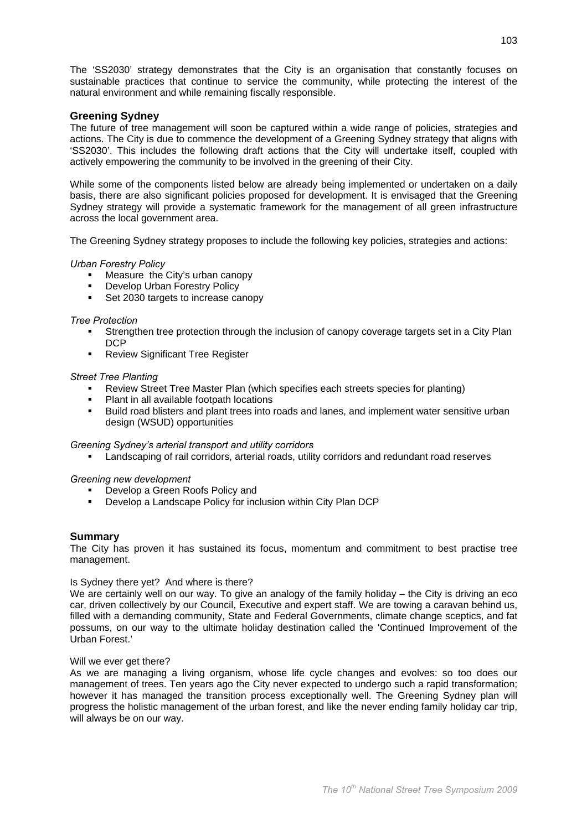The 'SS2030' strategy demonstrates that the City is an organisation that constantly focuses on sustainable practices that continue to service the community, while protecting the interest of the natural environment and while remaining fiscally responsible.

# **Greening Sydney**

The future of tree management will soon be captured within a wide range of policies, strategies and actions. The City is due to commence the development of a Greening Sydney strategy that aligns with 'SS2030'. This includes the following draft actions that the City will undertake itself, coupled with actively empowering the community to be involved in the greening of their City.

While some of the components listed below are already being implemented or undertaken on a daily basis, there are also significant policies proposed for development. It is envisaged that the Greening Sydney strategy will provide a systematic framework for the management of all green infrastructure across the local government area.

The Greening Sydney strategy proposes to include the following key policies, strategies and actions:

#### **Urban Forestry Policy**

- Measure the City's urban canopy
- Develop Urban Forestry Policy
- Set 2030 targets to increase canopy

## **Tree Protection**

- Strengthen tree protection through the inclusion of canopy coverage targets set in a City Plan **DCP**
- Review Significant Tree Register

#### **Street Tree Planting**

- Review Street Tree Master Plan (which specifies each streets species for planting)
- $\blacksquare$ Plant in all available footpath locations
- Build road blisters and plant trees into roads and lanes, and implement water sensitive urban design (WSUD) opportunities

## Greening Sydney's arterial transport and utility corridors

• Landscaping of rail corridors, arterial roads, utility corridors and redundant road reserves

## Greening new development

- Develop a Green Roofs Policy and
- Develop a Landscape Policy for inclusion within City Plan DCP

## **Summary**

The City has proven it has sustained its focus, momentum and commitment to best practise tree management.

#### Is Sydney there yet? And where is there?

We are certainly well on our way. To give an analogy of the family holiday  $-$  the City is driving an eco car, driven collectively by our Council, Executive and expert staff. We are towing a caravan behind us, filled with a demanding community, State and Federal Governments, climate change sceptics, and fat possums, on our way to the ultimate holiday destination called the 'Continued Improvement of the Urban Forest.'

#### Will we ever get there?

As we are managing a living organism, whose life cycle changes and evolves: so too does our management of trees. Ten years ago the City never expected to undergo such a rapid transformation; however it has managed the transition process exceptionally well. The Greening Sydney plan will progress the holistic management of the urban forest, and like the never ending family holiday car trip. will always be on our way.